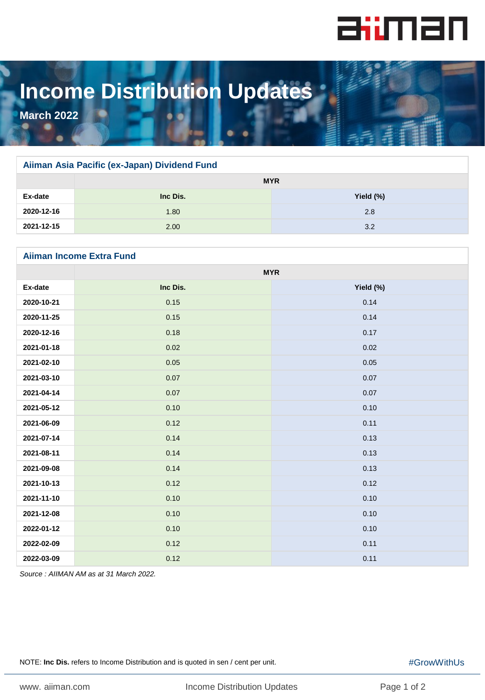

## **Income Distribution Updates**

**March 2022**

## **Aiiman Asia Pacific (ex-Japan) Dividend Fund**

|            | <b>MYR</b> |           |
|------------|------------|-----------|
| Ex-date    | Inc Dis.   | Yield (%) |
| 2020-12-16 | 1.80       | 2.8       |
| 2021-12-15 | 2.00       | 3.2       |

## **Aiiman Income Extra Fund**

|            | <b>MYR</b> |           |
|------------|------------|-----------|
| Ex-date    | Inc Dis.   | Yield (%) |
| 2020-10-21 | 0.15       | 0.14      |
| 2020-11-25 | 0.15       | 0.14      |
| 2020-12-16 | 0.18       | 0.17      |
| 2021-01-18 | 0.02       | 0.02      |
| 2021-02-10 | 0.05       | 0.05      |
| 2021-03-10 | 0.07       | 0.07      |
| 2021-04-14 | 0.07       | 0.07      |
| 2021-05-12 | 0.10       | 0.10      |
| 2021-06-09 | 0.12       | 0.11      |
| 2021-07-14 | 0.14       | 0.13      |
| 2021-08-11 | 0.14       | 0.13      |
| 2021-09-08 | 0.14       | 0.13      |
| 2021-10-13 | 0.12       | 0.12      |
| 2021-11-10 | 0.10       | 0.10      |
| 2021-12-08 | 0.10       | 0.10      |
| 2022-01-12 | 0.10       | 0.10      |
| 2022-02-09 | 0.12       | 0.11      |
| 2022-03-09 | 0.12       | 0.11      |

*Source : AIIMAN AM as at 31 March 2022.* 

NOTE: **Inc Dis.** refers to Income Distribution and is quoted in sen / cent per unit.